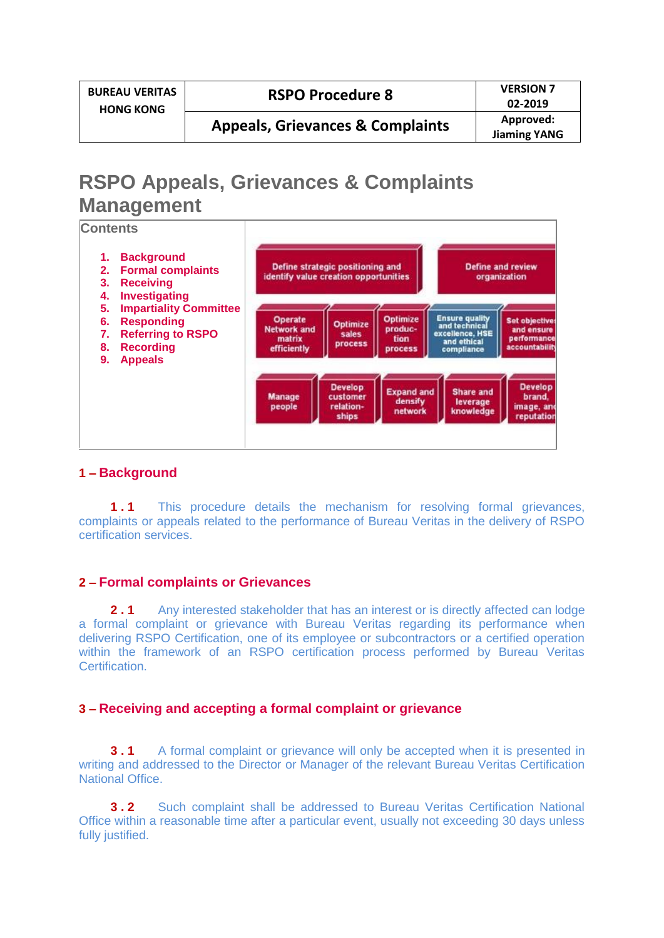| <b>BUREAU VERITAS</b><br><b>HONG KONG</b> | <b>RSPO Procedure 8</b>                     | <b>VERSION 7</b><br>02-2019      |
|-------------------------------------------|---------------------------------------------|----------------------------------|
|                                           | <b>Appeals, Grievances &amp; Complaints</b> | Approved:<br><b>Jiaming YANG</b> |

# **RSPO Appeals, Grievances & Complaints Management**



## **1 – Background**

**1.1** This procedure details the mechanism for resolving formal grievances, complaints or appeals related to the performance of Bureau Veritas in the delivery of RSPO certification services.

## **2 – Formal complaints or Grievances**

**2.1** Any interested stakeholder that has an interest or is directly affected can lodge a formal complaint or grievance with Bureau Veritas regarding its performance when delivering RSPO Certification, one of its employee or subcontractors or a certified operation within the framework of an RSPO certification process performed by Bureau Veritas Certification.

## **3 – Receiving and accepting a formal complaint or grievance**

**3.1** A formal complaint or grievance will only be accepted when it is presented in writing and addressed to the Director or Manager of the relevant Bureau Veritas Certification National Office.

**3.2** Such complaint shall be addressed to Bureau Veritas Certification National Office within a reasonable time after a particular event, usually not exceeding 30 days unless fully justified.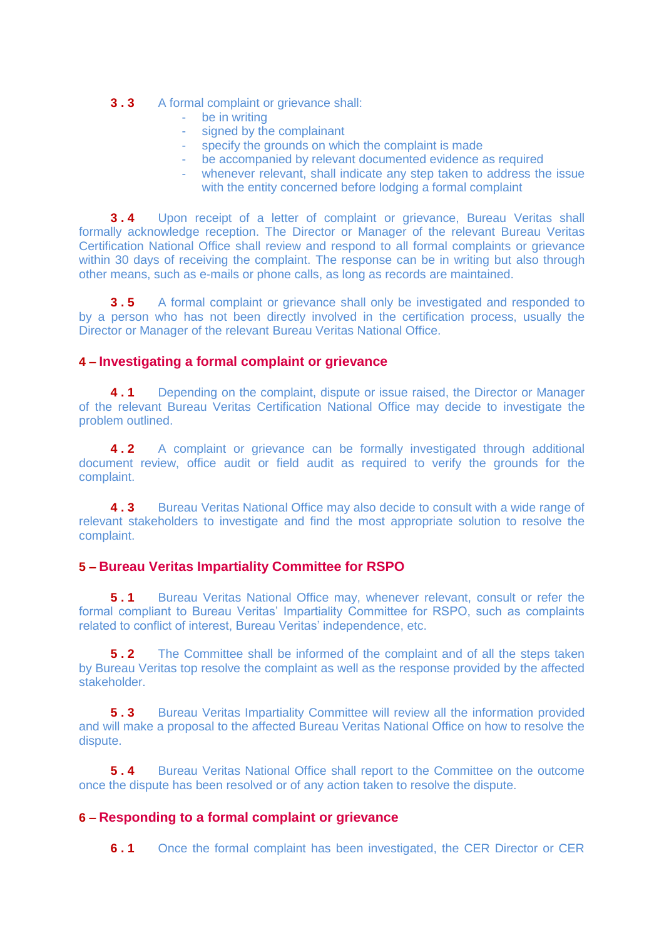#### **3.3** A formal complaint or grievance shall:

- be in writing
- signed by the complainant
- specify the grounds on which the complaint is made
- be accompanied by relevant documented evidence as required
- whenever relevant, shall indicate any step taken to address the issue with the entity concerned before lodging a formal complaint

**3.4** Upon receipt of a letter of complaint or grievance, Bureau Veritas shall formally acknowledge reception. The Director or Manager of the relevant Bureau Veritas Certification National Office shall review and respond to all formal complaints or grievance within 30 days of receiving the complaint. The response can be in writing but also through other means, such as e-mails or phone calls, as long as records are maintained.

**3.5** A formal complaint or grievance shall only be investigated and responded to by a person who has not been directly involved in the certification process, usually the Director or Manager of the relevant Bureau Veritas National Office.

## **4 – Investigating a formal complaint or grievance**

**4.1** Depending on the complaint, dispute or issue raised, the Director or Manager of the relevant Bureau Veritas Certification National Office may decide to investigate the problem outlined.

**4.2** A complaint or grievance can be formally investigated through additional document review, office audit or field audit as required to verify the grounds for the complaint.

**4.3** Bureau Veritas National Office may also decide to consult with a wide range of relevant stakeholders to investigate and find the most appropriate solution to resolve the complaint.

## **5 – Bureau Veritas Impartiality Committee for RSPO**

**5.1** Bureau Veritas National Office may, whenever relevant, consult or refer the formal compliant to Bureau Veritas' Impartiality Committee for RSPO, such as complaints related to conflict of interest, Bureau Veritas' independence, etc.

**5.2** The Committee shall be informed of the complaint and of all the steps taken by Bureau Veritas top resolve the complaint as well as the response provided by the affected stakeholder.

**5.3** Bureau Veritas Impartiality Committee will review all the information provided and will make a proposal to the affected Bureau Veritas National Office on how to resolve the dispute.

**5.4** Bureau Veritas National Office shall report to the Committee on the outcome once the dispute has been resolved or of any action taken to resolve the dispute.

## **6 – Responding to a formal complaint or grievance**

**6.1** Once the formal complaint has been investigated, the CER Director or CER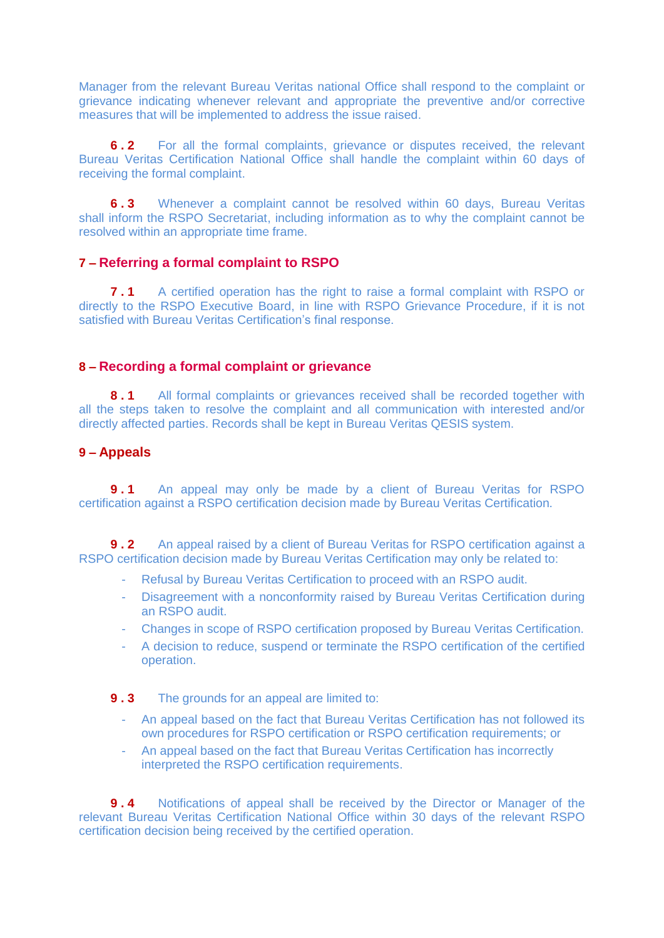Manager from the relevant Bureau Veritas national Office shall respond to the complaint or grievance indicating whenever relevant and appropriate the preventive and/or corrective measures that will be implemented to address the issue raised.

**6.2** For all the formal complaints, grievance or disputes received, the relevant Bureau Veritas Certification National Office shall handle the complaint within 60 days of receiving the formal complaint.

**6.3** Whenever a complaint cannot be resolved within 60 days, Bureau Veritas shall inform the RSPO Secretariat, including information as to why the complaint cannot be resolved within an appropriate time frame.

#### **7 – Referring a formal complaint to RSPO**

**7.1** A certified operation has the right to raise a formal complaint with RSPO or directly to the RSPO Executive Board, in line with RSPO Grievance Procedure, if it is not satisfied with Bureau Veritas Certification's final response.

#### **8 – Recording a formal complaint or grievance**

**8.1** All formal complaints or grievances received shall be recorded together with all the steps taken to resolve the complaint and all communication with interested and/or directly affected parties. Records shall be kept in Bureau Veritas QESIS system.

#### **9 – Appeals**

**9.1** An appeal may only be made by a client of Bureau Veritas for RSPO certification against a RSPO certification decision made by Bureau Veritas Certification.

**9.2** An appeal raised by a client of Bureau Veritas for RSPO certification against a RSPO certification decision made by Bureau Veritas Certification may only be related to:

- Refusal by Bureau Veritas Certification to proceed with an RSPO audit.
- Disagreement with a nonconformity raised by Bureau Veritas Certification during an RSPO audit.
- Changes in scope of RSPO certification proposed by Bureau Veritas Certification.
- A decision to reduce, suspend or terminate the RSPO certification of the certified operation.
- **9.3** The grounds for an appeal are limited to:
	- An appeal based on the fact that Bureau Veritas Certification has not followed its own procedures for RSPO certification or RSPO certification requirements; or
	- An appeal based on the fact that Bureau Veritas Certification has incorrectly interpreted the RSPO certification requirements.

**9 . 4** Notifications of appeal shall be received by the Director or Manager of the relevant Bureau Veritas Certification National Office within 30 days of the relevant RSPO certification decision being received by the certified operation.